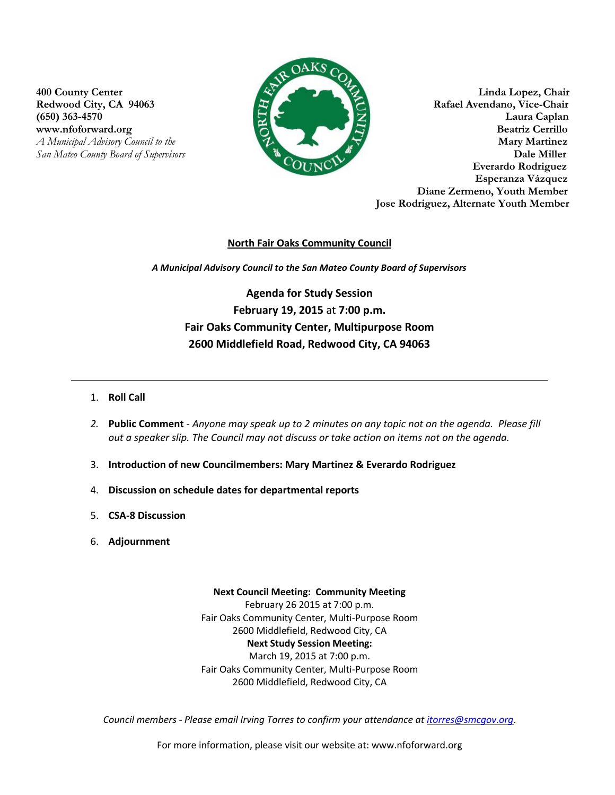www.nfoforward.org



**400 County Center Linda Lopez, Chair Redwood City, CA 94063 Rafael Avendano, Vice-Chair** (650) 363-4570 Laura Caplan<br>www.nfoforward.org **Contract Contract Contract Contract Contract Contract Contract Contract Contract Contract Contract Contract Contract Contract Contract Contract Contract Contract Contract Con** *A Municipal Advisory Council to the Martinez <b>Martinez Martinez Martinez Martinez San Mateo County Board of Supervisors* **Dale Miller Everardo Rodriguez Esperanza Vázquez Diane Zermeno, Youth Member Jose Rodriguez, Alternate Youth Member**

## **North Fair Oaks Community Council**

*A Municipal Advisory Council to the San Mateo County Board of Supervisors*

**Agenda for Study Session February 19, 2015** at **7:00 p.m. Fair Oaks Community Center, Multipurpose Room 2600 Middlefield Road, Redwood City, CA 94063**

- 1. **Roll Call**
- *2.* **Public Comment** *Anyone may speak up to 2 minutes on any topic not on the agenda. Please fill out a speaker slip. The Council may not discuss or take action on items not on the agenda.*
- 3. **Introduction of new Councilmembers: Mary Martinez & Everardo Rodriguez**
- 4. **Discussion on schedule dates for departmental reports**
- 5. **CSA-8 Discussion**
- 6. **Adjournment**

**Next Council Meeting: Community Meeting**  February 26 2015 at 7:00 p.m. Fair Oaks Community Center, Multi-Purpose Room 2600 Middlefield, Redwood City, CA **Next Study Session Meeting:**  March 19, 2015 at 7:00 p.m. Fair Oaks Community Center, Multi-Purpose Room 2600 Middlefield, Redwood City, CA

*Council members - Please email Irving Torres to confirm your attendance at [itorres@smcgov.org](mailto:itorres@smcgov.org)*.

For more information, please visit our website at: www.nfoforward.org